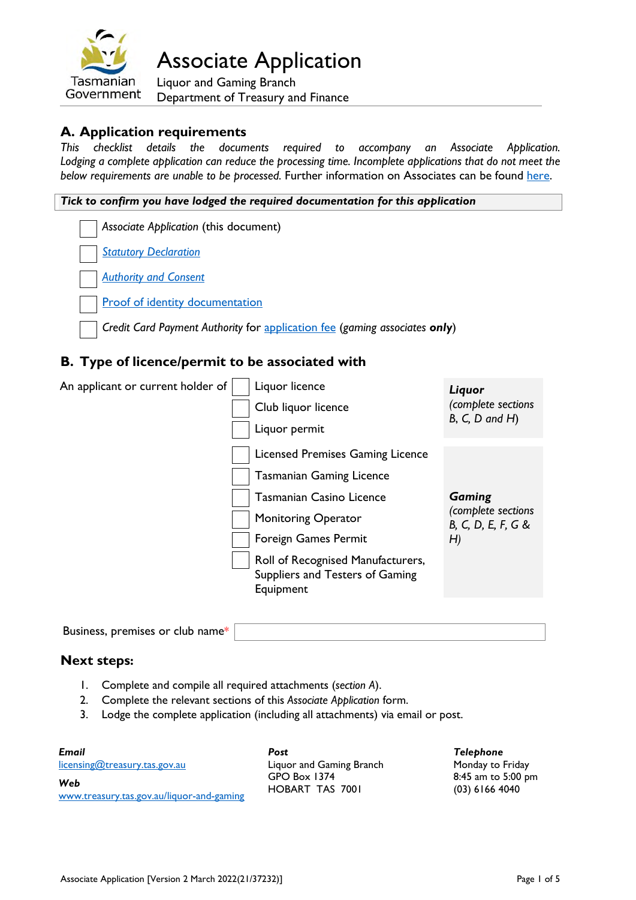

Associate Application

Liquor and Gaming Branch Department of Treasury and Finance

### **A. Application requirements**

*This checklist details the documents required to accompany an Associate Application. Lodging a complete application can reduce the processing time. Incomplete applications that do not meet the below requirements are unable to be processed.* Further information on Associates can be found [here.](https://www.treasury.tas.gov.au/liquor-and-gaming/forms/supporting-information#Associates%3Cbr%3E)

#### *Tick to confirm you have lodged the required documentation for this application*

*Associate Application* (this document)

*[Statutory Declaration](https://www.treasury.tas.gov.au/Documents/Statutory%20Declaration.pdf)*

*[Authority and Consent](https://www.treasury.tas.gov.au/Documents/Authority%20and%20Consent.pdf)*

[Proof of identity documentation](https://www.treasury.tas.gov.au/liquor-and-gaming/forms/proof-of-identity)

*Credit Card Payment Authority* for [application fee](https://www.treasury.tas.gov.au/liquor-and-gaming/fees) (*gaming associates only*)

### **B. Type of licence/permit to be associated with**

| An applicant or current holder of | Liquor licence<br>Club liquor licence<br>Liquor permit                                                                                                                                                                                            | Liquor<br>(complete sections<br>$B, C, D$ and $H$ )             |
|-----------------------------------|---------------------------------------------------------------------------------------------------------------------------------------------------------------------------------------------------------------------------------------------------|-----------------------------------------------------------------|
|                                   | Licensed Premises Gaming Licence<br><b>Tasmanian Gaming Licence</b><br><b>Tasmanian Casino Licence</b><br><b>Monitoring Operator</b><br>Foreign Games Permit<br>Roll of Recognised Manufacturers,<br>Suppliers and Testers of Gaming<br>Equipment | <b>Gaming</b><br>(complete sections<br>B, C, D, E, F, G &<br>H) |

Business, premises or club name\*

### **Next steps:**

- 1. Complete and compile all required attachments (*section A*).
- 2. Complete the relevant sections of this *Associate Application* form.
- 3. Lodge the complete application (including all attachments) via email or post.

| Email                                            | Post                            | Telephone                              |
|--------------------------------------------------|---------------------------------|----------------------------------------|
| licensing@treasury.tas.gov.au                    | Liquor and Gaming Branch        | Monday to Friday                       |
| Web<br>www.treasury.tas.gov.au/liquor-and-gaming | GPO Box 1374<br>HOBART TAS 7001 | 8:45 am to 5:00 pm<br>$(03)$ 6166 4040 |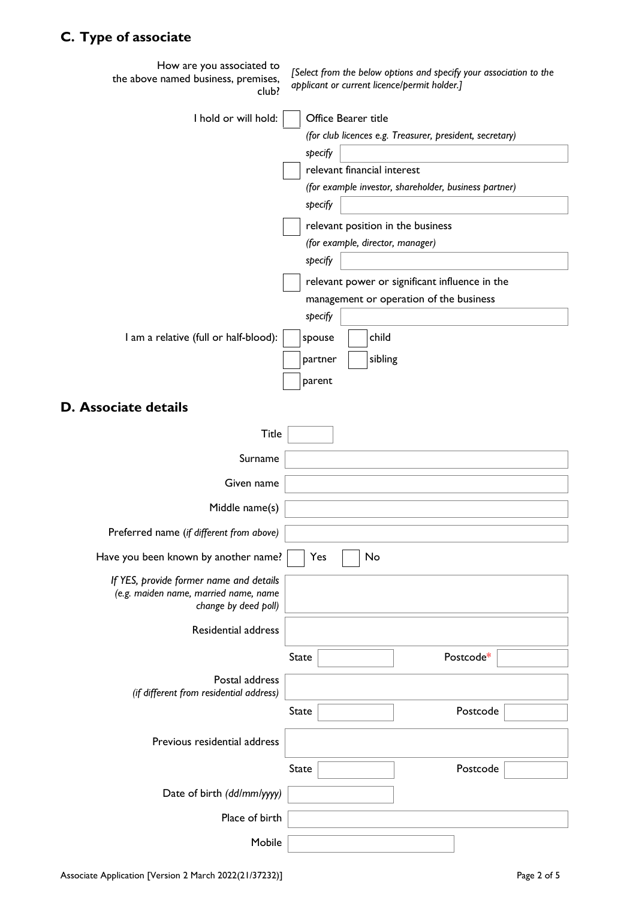# **C. Type of associate**

| How are you associated to<br>the above named business, premises,<br>club? | [Select from the below options and specify your association to the<br>applicant or current licence/permit holder.] |
|---------------------------------------------------------------------------|--------------------------------------------------------------------------------------------------------------------|
| I hold or will hold:                                                      | Office Bearer title                                                                                                |
|                                                                           | (for club licences e.g. Treasurer, president, secretary)                                                           |
|                                                                           | specify                                                                                                            |
|                                                                           | relevant financial interest                                                                                        |
|                                                                           | (for example investor, shareholder, business partner)<br>specify                                                   |
|                                                                           |                                                                                                                    |
|                                                                           | relevant position in the business<br>(for example, director, manager)                                              |
|                                                                           | specify                                                                                                            |
|                                                                           | relevant power or significant influence in the                                                                     |
|                                                                           | management or operation of the business                                                                            |
|                                                                           | specify                                                                                                            |
| I am a relative (full or half-blood):                                     | child<br>spouse                                                                                                    |
|                                                                           | sibling<br>partner                                                                                                 |
|                                                                           | parent                                                                                                             |
| <b>D. Associate details</b>                                               |                                                                                                                    |
| <b>Title</b>                                                              |                                                                                                                    |
| Surname                                                                   |                                                                                                                    |
| Given name                                                                |                                                                                                                    |
| Middle name(s)                                                            |                                                                                                                    |
| Preferred name (if different from above)                                  |                                                                                                                    |
| Have you been known by another name?                                      | No<br>Yes                                                                                                          |
| If YES, provide former name and details                                   |                                                                                                                    |
| (e.g. maiden name, married name, name<br>change by deed poll)             |                                                                                                                    |
| Residential address                                                       |                                                                                                                    |
|                                                                           |                                                                                                                    |
|                                                                           | Postcode*<br><b>State</b>                                                                                          |
| Postal address<br>(if different from residential address)                 |                                                                                                                    |
|                                                                           | Postcode<br><b>State</b>                                                                                           |
|                                                                           |                                                                                                                    |
| Previous residential address                                              |                                                                                                                    |
|                                                                           | Postcode<br><b>State</b>                                                                                           |
| Date of birth (dd/mm/yyyy)                                                |                                                                                                                    |
| Place of birth                                                            |                                                                                                                    |
| Mobile                                                                    |                                                                                                                    |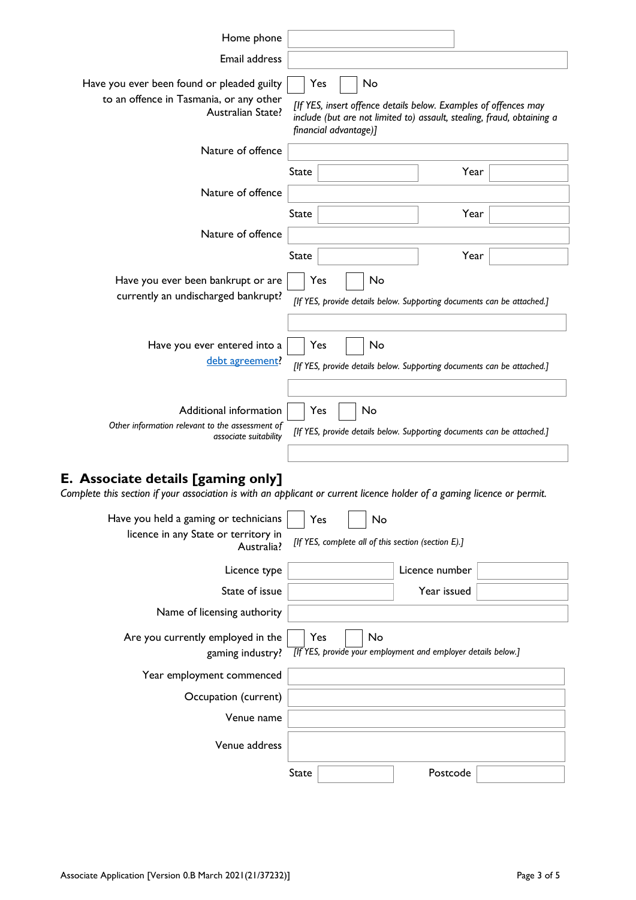| Home phone                                                                                                                                                    |                                                                                                                                                                                 |  |    |                                                                        |  |
|---------------------------------------------------------------------------------------------------------------------------------------------------------------|---------------------------------------------------------------------------------------------------------------------------------------------------------------------------------|--|----|------------------------------------------------------------------------|--|
| Email address                                                                                                                                                 |                                                                                                                                                                                 |  |    |                                                                        |  |
| Have you ever been found or pleaded guilty<br>to an offence in Tasmania, or any other<br>Australian State?                                                    | No<br>Yes<br>[If YES, insert offence details below. Examples of offences may<br>include (but are not limited to) assault, stealing, fraud, obtaining a<br>financial advantage)] |  |    |                                                                        |  |
| Nature of offence                                                                                                                                             |                                                                                                                                                                                 |  |    |                                                                        |  |
|                                                                                                                                                               | State                                                                                                                                                                           |  |    | Year                                                                   |  |
| Nature of offence                                                                                                                                             |                                                                                                                                                                                 |  |    |                                                                        |  |
|                                                                                                                                                               | State                                                                                                                                                                           |  |    | Year                                                                   |  |
| Nature of offence                                                                                                                                             |                                                                                                                                                                                 |  |    |                                                                        |  |
|                                                                                                                                                               | State                                                                                                                                                                           |  |    | Year                                                                   |  |
| Have you ever been bankrupt or are<br>currently an undischarged bankrupt?                                                                                     | Yes                                                                                                                                                                             |  | No | [If YES, provide details below. Supporting documents can be attached.] |  |
| Have you ever entered into a<br>debt agreement?                                                                                                               | Yes                                                                                                                                                                             |  | No | [If YES, provide details below. Supporting documents can be attached.] |  |
| Additional information<br>Other information relevant to the assessment of<br>associate suitability                                                            | Yes                                                                                                                                                                             |  | No | [If YES, provide details below. Supporting documents can be attached.] |  |
| E. Associate details [gaming only]<br>Complete this section if your association is with an applicant or current licence holder of a gaming licence or permit. |                                                                                                                                                                                 |  |    |                                                                        |  |
| Have you held a gaming or technicians<br>licence in any State or territory in<br>Australia?                                                                   | Yes                                                                                                                                                                             |  | No | [If YES, complete all of this section (section E).]                    |  |
| Licence type                                                                                                                                                  |                                                                                                                                                                                 |  |    | Licence number                                                         |  |
| State of issue                                                                                                                                                |                                                                                                                                                                                 |  |    | Year issued                                                            |  |
| Name of licensing authority                                                                                                                                   |                                                                                                                                                                                 |  |    |                                                                        |  |
| Are you currently employed in the<br>gaming industry?                                                                                                         | Yes                                                                                                                                                                             |  | No | [If YES, provide your employment and employer details below.]          |  |
| Year employment commenced                                                                                                                                     |                                                                                                                                                                                 |  |    |                                                                        |  |
| Occupation (current)                                                                                                                                          |                                                                                                                                                                                 |  |    |                                                                        |  |
| Venue name                                                                                                                                                    |                                                                                                                                                                                 |  |    |                                                                        |  |
| Venue address                                                                                                                                                 |                                                                                                                                                                                 |  |    |                                                                        |  |

State Postcode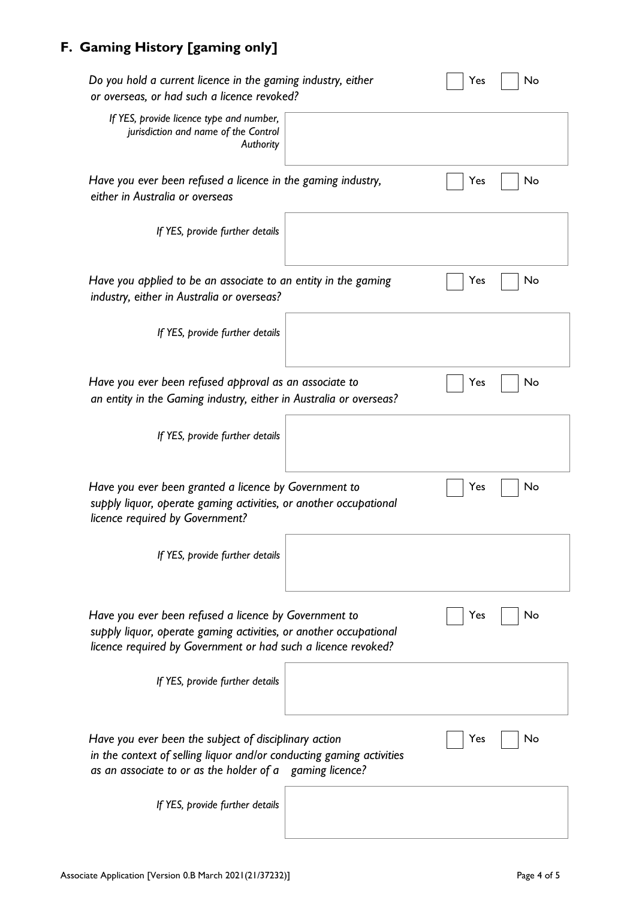# **F. Gaming History [gaming only]**

| Do you hold a current licence in the gaming industry, either<br>or overseas, or had such a licence revoked?                                                                                 | No<br>Yes |
|---------------------------------------------------------------------------------------------------------------------------------------------------------------------------------------------|-----------|
| If YES, provide licence type and number,<br>jurisdiction and name of the Control<br>Authority                                                                                               |           |
| Have you ever been refused a licence in the gaming industry,<br>either in Australia or overseas                                                                                             | No<br>Yes |
| If YES, provide further details                                                                                                                                                             |           |
| Have you applied to be an associate to an entity in the gaming<br>industry, either in Australia or overseas?                                                                                | No<br>Yes |
| If YES, provide further details                                                                                                                                                             |           |
| Have you ever been refused approval as an associate to<br>an entity in the Gaming industry, either in Australia or overseas?                                                                | No<br>Yes |
| If YES, provide further details                                                                                                                                                             |           |
| Have you ever been granted a licence by Government to<br>supply liquor, operate gaming activities, or another occupational<br>licence required by Government?                               | No<br>Yes |
| If YES, provide further details                                                                                                                                                             |           |
| Have you ever been refused a licence by Government to<br>supply liquor, operate gaming activities, or another occupational<br>licence required by Government or had such a licence revoked? | No<br>Yes |
| If YES, provide further details                                                                                                                                                             |           |
| Have you ever been the subject of disciplinary action<br>in the context of selling liquor and/or conducting gaming activities<br>as an associate to or as the holder of a gaming licence?   | No<br>Yes |
| If YES, provide further details                                                                                                                                                             |           |